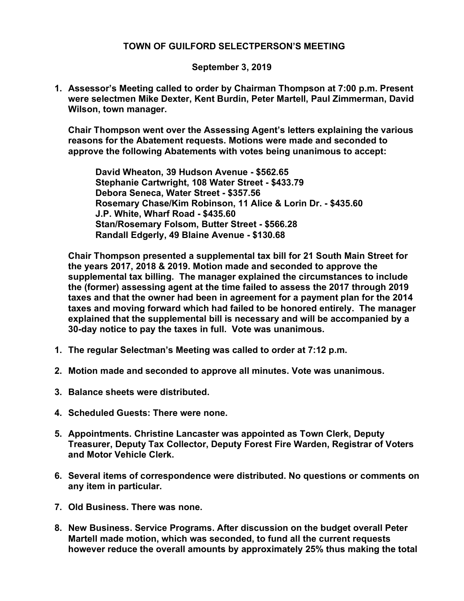## TOWN OF GUILFORD SELECTPERSON'S MEETING

## September 3, 2019

1. Assessor's Meeting called to order by Chairman Thompson at 7:00 p.m. Present were selectmen Mike Dexter, Kent Burdin, Peter Martell, Paul Zimmerman, David Wilson, town manager.

Chair Thompson went over the Assessing Agent's letters explaining the various reasons for the Abatement requests. Motions were made and seconded to approve the following Abatements with votes being unanimous to accept:

 David Wheaton, 39 Hudson Avenue - \$562.65 Stephanie Cartwright, 108 Water Street - \$433.79 Debora Seneca, Water Street - \$357.56 Rosemary Chase/Kim Robinson, 11 Alice & Lorin Dr. - \$435.60 J.P. White, Wharf Road - \$435.60 Stan/Rosemary Folsom, Butter Street - \$566.28 Randall Edgerly, 49 Blaine Avenue - \$130.68

Chair Thompson presented a supplemental tax bill for 21 South Main Street for the years 2017, 2018 & 2019. Motion made and seconded to approve the supplemental tax billing. The manager explained the circumstances to include the (former) assessing agent at the time failed to assess the 2017 through 2019 taxes and that the owner had been in agreement for a payment plan for the 2014 taxes and moving forward which had failed to be honored entirely. The manager explained that the supplemental bill is necessary and will be accompanied by a 30-day notice to pay the taxes in full. Vote was unanimous.

- 1. The regular Selectman's Meeting was called to order at 7:12 p.m.
- 2. Motion made and seconded to approve all minutes. Vote was unanimous.
- 3. Balance sheets were distributed.
- 4. Scheduled Guests: There were none.
- 5. Appointments. Christine Lancaster was appointed as Town Clerk, Deputy Treasurer, Deputy Tax Collector, Deputy Forest Fire Warden, Registrar of Voters and Motor Vehicle Clerk.
- 6. Several items of correspondence were distributed. No questions or comments on any item in particular.
- 7. Old Business. There was none.
- 8. New Business. Service Programs. After discussion on the budget overall Peter Martell made motion, which was seconded, to fund all the current requests however reduce the overall amounts by approximately 25% thus making the total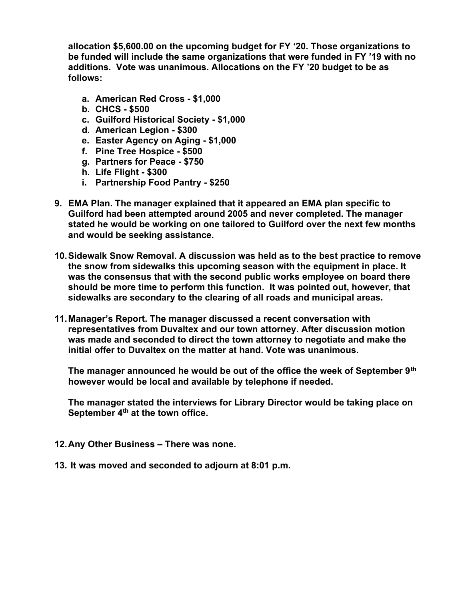allocation \$5,600.00 on the upcoming budget for FY '20. Those organizations to be funded will include the same organizations that were funded in FY '19 with no additions. Vote was unanimous. Allocations on the FY '20 budget to be as follows:

- a. American Red Cross \$1,000
- b. CHCS \$500
- c. Guilford Historical Society \$1,000
- d. American Legion \$300
- e. Easter Agency on Aging \$1,000
- f. Pine Tree Hospice \$500
- g. Partners for Peace \$750
- h. Life Flight \$300
- i. Partnership Food Pantry \$250
- 9. EMA Plan. The manager explained that it appeared an EMA plan specific to Guilford had been attempted around 2005 and never completed. The manager stated he would be working on one tailored to Guilford over the next few months and would be seeking assistance.
- 10. Sidewalk Snow Removal. A discussion was held as to the best practice to remove the snow from sidewalks this upcoming season with the equipment in place. It was the consensus that with the second public works employee on board there should be more time to perform this function. It was pointed out, however, that sidewalks are secondary to the clearing of all roads and municipal areas.
- 11. Manager's Report. The manager discussed a recent conversation with representatives from Duvaltex and our town attorney. After discussion motion was made and seconded to direct the town attorney to negotiate and make the initial offer to Duvaltex on the matter at hand. Vote was unanimous.

The manager announced he would be out of the office the week of September  $9<sup>th</sup>$ however would be local and available by telephone if needed.

The manager stated the interviews for Library Director would be taking place on September 4<sup>th</sup> at the town office.

- 12. Any Other Business There was none.
- 13. It was moved and seconded to adjourn at 8:01 p.m.